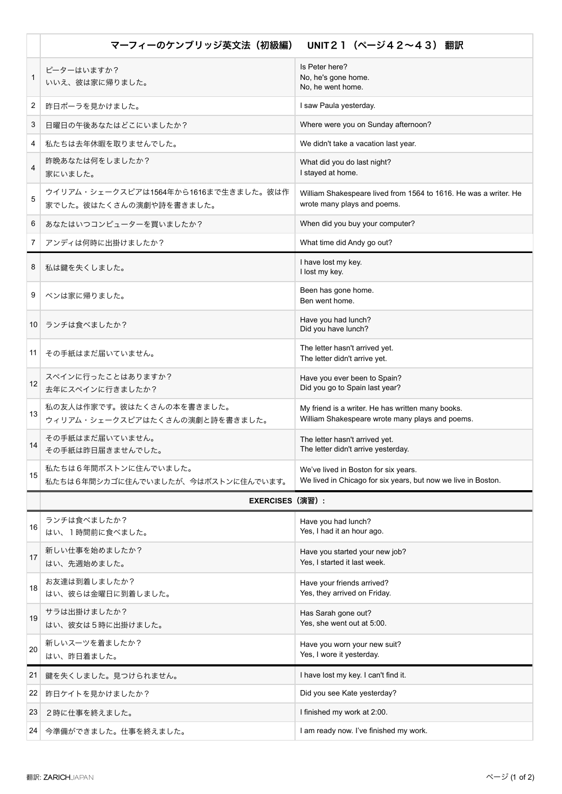|    | マーフィーのケンブリッジ英文法(初級編) UNIT21(ページ42~43) 翻訳                        |                                                                                                       |
|----|-----------------------------------------------------------------|-------------------------------------------------------------------------------------------------------|
| 1  | ピーターはいますか?<br>いいえ、彼は家に帰りました。                                    | Is Peter here?<br>No, he's gone home.<br>No, he went home.                                            |
| 2  | 昨日ポーラを見かけました。                                                   | I saw Paula yesterday.                                                                                |
| 3  | 日曜日の午後あなたはどこにいましたか?                                             | Where were you on Sunday afternoon?                                                                   |
| 4  | 私たちは去年休暇を取りませんでした。                                              | We didn't take a vacation last year.                                                                  |
| 4  | 昨晩あなたは何をしましたか?<br>家にいました。                                       | What did you do last night?<br>I stayed at home.                                                      |
| 5  | ウイリアム・シェークスピアは1564年から1616まで生きました。彼は作<br>家でした。彼はたくさんの演劇や詩を書きました。 | William Shakespeare lived from 1564 to 1616. He was a writer. He<br>wrote many plays and poems.       |
| 6  | あなたはいつコンピューターを買いましたか?                                           | When did you buy your computer?                                                                       |
| 7  | アンディは何時に出掛けましたか?                                                | What time did Andy go out?                                                                            |
| 8  | 私は鍵を失くしました。                                                     | I have lost my key.<br>I lost my key.                                                                 |
| 9  | ベンは家に帰りました。                                                     | Been has gone home.<br>Ben went home.                                                                 |
|    | 10 ランチは食べましたか?                                                  | Have you had lunch?<br>Did you have lunch?                                                            |
| 11 | その手紙はまだ届いていません。                                                 | The letter hasn't arrived yet.<br>The letter didn't arrive yet.                                       |
| 12 | スペインに行ったことはありますか?<br>去年にスペインに行きましたか?                            | Have you ever been to Spain?<br>Did you go to Spain last year?                                        |
| 13 | 私の友人は作家です。彼はたくさんの本を書きました。<br>ウィリアム・シェークスピアはたくさんの演劇と詩を書きました。     | My friend is a writer. He has written many books.<br>William Shakespeare wrote many plays and poems.  |
| 14 | その手紙はまだ届いていません。<br>その手紙は昨日届きませんでした。                             | The letter hasn't arrived yet.<br>The letter didn't arrive yesterday.                                 |
| 15 | 私たちは6年間ボストンに住んでいました。<br>私たちは6年間シカゴに住んでいましたが、今はボストンに住んでいます。      | We've lived in Boston for six years.<br>We lived in Chicago for six years, but now we live in Boston. |
|    | <b>EXERCISES (演習):</b>                                          |                                                                                                       |
| 16 | ランチは食べましたか?<br>はい、1時間前に食べました。                                   | Have you had lunch?<br>Yes, I had it an hour ago.                                                     |
| 17 | 新しい仕事を始めましたか?<br>はい、先週始めました。                                    | Have you started your new job?<br>Yes, I started it last week.                                        |
| 18 | お友達は到着しましたか?<br>はい、彼らは金曜日に到着しました。                               | Have your friends arrived?<br>Yes, they arrived on Friday.                                            |
| 19 | サラは出掛けましたか?<br>はい、彼女は5時に出掛けました。                                 | Has Sarah gone out?<br>Yes, she went out at 5:00.                                                     |
| 20 | 新しいスーツを着ましたか?<br>はい、昨日着ました。                                     | Have you worn your new suit?<br>Yes, I wore it yesterday.                                             |
| 21 | 鍵を失くしました。見つけられません。                                              | I have lost my key. I can't find it.                                                                  |
| 22 | 昨日ケイトを見かけましたか?                                                  | Did you see Kate yesterday?                                                                           |
| 23 | 2時に仕事を終えました。                                                    | I finished my work at 2:00.                                                                           |
| 24 | 今準備ができました。仕事を終えました。                                             | I am ready now. I've finished my work.                                                                |